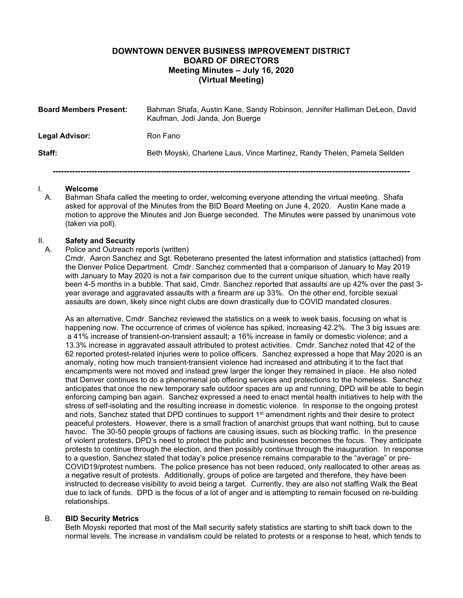# **DOWNTOWN DENVER BUSINESS IMPROVEMENT DISTRICT BOARD OF DIRECTORS Meeting Minutes – July 16, 2020 (Virtual Meeting)**

| <b>Board Members Present:</b> | Bahman Shafa, Austin Kane, Sandy Robinson, Jennifer Halliman DeLeon, David<br>Kaufman, Jodi Janda, Jon Buerge |
|-------------------------------|---------------------------------------------------------------------------------------------------------------|
| Legal Advisor:                | Ron Fano                                                                                                      |
| Staff:                        | Beth Moyski, Charlene Laus, Vince Martinez, Randy Thelen, Pamela Sellden                                      |
|                               |                                                                                                               |

#### I. **Welcome**

A. Bahman Shafa called the meeting to order, welcoming everyone attending the virtual meeting. Shafa asked for approval of the Minutes from the BID Board Meeting on June 4, 2020. Austin Kane made a motion to approve the Minutes and Jon Buerge seconded. The Minutes were passed by unanimous vote (taken via poll).

# II. **Safety and Security**

#### Police and Outreach reports (written)

Cmdr. Aaron Sanchez and Sgt. Rebeterano presented the latest information and statistics (attached) from the Denver Police Department. Cmdr. Sanchez commented that a comparison of January to May 2019 with January to May 2020 is not a fair comparison due to the current unique situation, which have really been 4-5 months in a bubble. That said, Cmdr. Sanchez reported that assaults are up 42% over the past 3 year average and aggravated assaults with a firearm are up 33%. On the other end, forcible sexual assaults are down, likely since night clubs are down drastically due to COVID mandated closures.

As an alternative, Cmdr. Sanchez reviewed the statistics on a week to week basis, focusing on what is happening now. The occurrence of crimes of violence has spiked, increasing 42.2%. The 3 big issues are: a 41% increase of transient-on-transient assault; a 16% increase in family or domestic violence; and a 13.3% increase in aggravated assault attributed to protest activities. Cmdr. Sanchez noted that 42 of the 62 reported protest-related injuries were to police officers. Sanchez expressed a hope that May 2020 is an anomaly, noting how much transient-transient violence had increased and attributing it to the fact that encampments were not moved and instead grew larger the longer they remained in place. He also noted that Denver continues to do a phenomenal job offering services and protections to the homeless. Sanchez anticipates that once the new temporary safe outdoor spaces are up and running, DPD will be able to begin enforcing camping ban again. Sanchez expressed a need to enact mental health initiatives to help with the stress of self-isolating and the resulting increase in domestic violence. In response to the ongoing protest and riots, Sanchez stated that DPD continues to support 1<sup>st</sup> amendment rights and their desire to protect peaceful protesters. However, there is a small fraction of anarchist groups that want nothing, but to cause havoc. The 30-50 people groups of factions are causing issues, such as blocking traffic. In the presence of violent protesters, DPD's need to protect the public and businesses becomes the focus. They anticipate protests to continue through the election, and then possibly continue through the inauguration. In response to a question, Sanchez stated that today's police presence remains comparable to the "average" or pre-COVID19/protest numbers. The police presence has not been reduced, only reallocated to other areas as a negative result of protests. Additionally, groups of police are targeted and therefore, they have been instructed to decrease visibility to avoid being a target. Currently, they are also not staffing Walk the Beat due to lack of funds. DPD is the focus of a lot of anger and is attempting to remain focused on re-building relationships.

#### B. **BID Security Metrics**

Beth Moyski reported that most of the Mall security safety statistics are starting to shift back down to the normal levels. The increase in vandalism could be related to protests or a response to heat, which tends to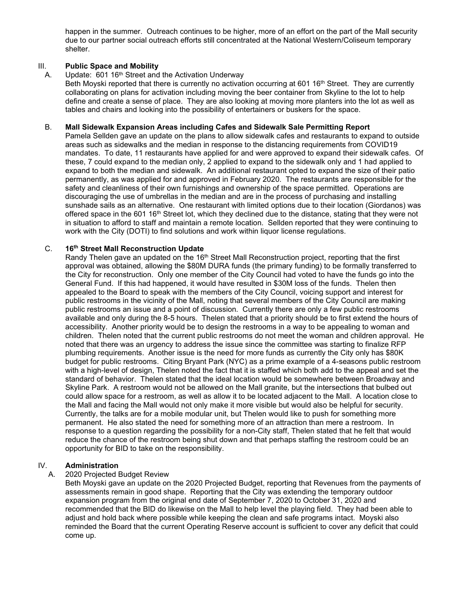happen in the summer. Outreach continues to be higher, more of an effort on the part of the Mall security due to our partner social outreach efforts still concentrated at the National Western/Coliseum temporary shelter.

# III. **Public Space and Mobility**<br>A. Update: 601 16<sup>th</sup> Street and

Update: 601 16<sup>th</sup> Street and the Activation Underway

Beth Moyski reported that there is currently no activation occurring at 601 16<sup>th</sup> Street. They are currently collaborating on plans for activation including moving the beer container from Skyline to the lot to help define and create a sense of place. They are also looking at moving more planters into the lot as well as tables and chairs and looking into the possibility of entertainers or buskers for the space.

#### B. **Mall Sidewalk Expansion Areas including Cafes and Sidewalk Sale Permitting Report**

Pamela Sellden gave an update on the plans to allow sidewalk cafes and restaurants to expand to outside areas such as sidewalks and the median in response to the distancing requirements from COVID19 mandates. To date, 11 restaurants have applied for and were approved to expand their sidewalk cafes. Of these, 7 could expand to the median only, 2 applied to expand to the sidewalk only and 1 had applied to expand to both the median and sidewalk. An additional restaurant opted to expand the size of their patio permanently, as was applied for and approved in February 2020. The restaurants are responsible for the safety and cleanliness of their own furnishings and ownership of the space permitted. Operations are discouraging the use of umbrellas in the median and are in the process of purchasing and installing sunshade sails as an alternative. One restaurant with limited options due to their location (Giordanos) was offered space in the 601 16<sup>th</sup> Street lot, which they declined due to the distance, stating that they were not in situation to afford to staff and maintain a remote location. Sellden reported that they were continuing to work with the City (DOTI) to find solutions and work within liquor license regulations.

### C. **16th Street Mall Reconstruction Update**

Randy Thelen gave an updated on the 16<sup>th</sup> Street Mall Reconstruction project, reporting that the first approval was obtained, allowing the \$80M DURA funds (the primary funding) to be formally transferred to the City for reconstruction. Only one member of the City Council had voted to have the funds go into the General Fund. If this had happened, it would have resulted in \$30M loss of the funds. Thelen then appealed to the Board to speak with the members of the City Council, voicing support and interest for public restrooms in the vicinity of the Mall, noting that several members of the City Council are making public restrooms an issue and a point of discussion. Currently there are only a few public restrooms available and only during the 8-5 hours. Thelen stated that a priority should be to first extend the hours of accessibility. Another priority would be to design the restrooms in a way to be appealing to woman and children. Thelen noted that the current public restrooms do not meet the woman and children approval. He noted that there was an urgency to address the issue since the committee was starting to finalize RFP plumbing requirements. Another issue is the need for more funds as currently the City only has \$80K budget for public restrooms. Citing Bryant Park (NYC) as a prime example of a 4-seasons public restroom with a high-level of design, Thelen noted the fact that it is staffed which both add to the appeal and set the standard of behavior. Thelen stated that the ideal location would be somewhere between Broadway and Skyline Park. A restroom would not be allowed on the Mall granite, but the intersections that bulbed out could allow space for a restroom, as well as allow it to be located adjacent to the Mall. A location close to the Mall and facing the Mall would not only make it more visible but would also be helpful for security. Currently, the talks are for a mobile modular unit, but Thelen would like to push for something more permanent. He also stated the need for something more of an attraction than mere a restroom. In response to a question regarding the possibility for a non-City staff, Thelen stated that he felt that would reduce the chance of the restroom being shut down and that perhaps staffing the restroom could be an opportunity for BID to take on the responsibility.

# IV. **Administration**

# A. 2020 Projected Budget Review

Beth Moyski gave an update on the 2020 Projected Budget, reporting that Revenues from the payments of assessments remain in good shape. Reporting that the City was extending the temporary outdoor expansion program from the original end date of September 7, 2020 to October 31, 2020 and recommended that the BID do likewise on the Mall to help level the playing field. They had been able to adjust and hold back where possible while keeping the clean and safe programs intact. Moyski also reminded the Board that the current Operating Reserve account is sufficient to cover any deficit that could come up.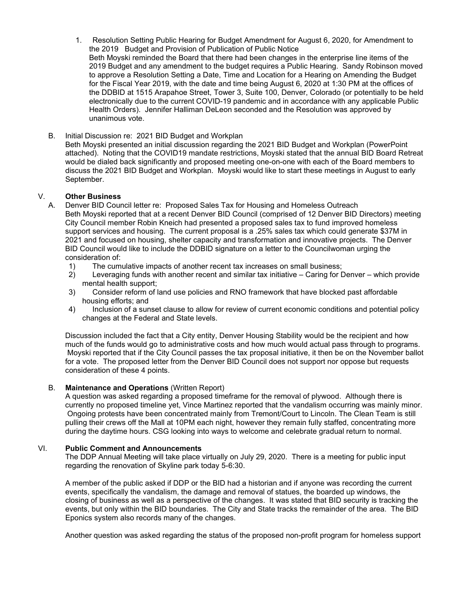- 1. Resolution Setting Public Hearing for Budget Amendment for August 6, 2020, for Amendment to the 2019 Budget and Provision of Publication of Public Notice Beth Moyski reminded the Board that there had been changes in the enterprise line items of the 2019 Budget and any amendment to the budget requires a Public Hearing. Sandy Robinson moved to approve a Resolution Setting a Date, Time and Location for a Hearing on Amending the Budget for the Fiscal Year 2019, with the date and time being August 6, 2020 at 1:30 PM at the offices of the DDBID at 1515 Arapahoe Street, Tower 3, Suite 100, Denver, Colorado (or potentially to be held electronically due to the current COVID-19 pandemic and in accordance with any applicable Public Health Orders). Jennifer Halliman DeLeon seconded and the Resolution was approved by unanimous vote.
- B. Initial Discussion re: 2021 BID Budget and Workplan

Beth Moyski presented an initial discussion regarding the 2021 BID Budget and Workplan (PowerPoint attached). Noting that the COVID19 mandate restrictions, Moyski stated that the annual BID Board Retreat would be dialed back significantly and proposed meeting one-on-one with each of the Board members to discuss the 2021 BID Budget and Workplan. Moyski would like to start these meetings in August to early September.

#### V. **Other Business**

- A. Denver BID Council letter re: Proposed Sales Tax for Housing and Homeless Outreach Beth Moyski reported that at a recent Denver BID Council (comprised of 12 Denver BID Directors) meeting City Council member Robin Kneich had presented a proposed sales tax to fund improved homeless support services and housing. The current proposal is a .25% sales tax which could generate \$37M in 2021 and focused on housing, shelter capacity and transformation and innovative projects. The Denver BID Council would like to include the DDBID signature on a letter to the Councilwoman urging the consideration of:
	- 1) The cumulative impacts of another recent tax increases on small business;
	- 2) Leveraging funds with another recent and similar tax initiative Caring for Denver which provide mental health support;
	- 3) Consider reform of land use policies and RNO framework that have blocked past affordable housing efforts; and
	- 4) Inclusion of a sunset clause to allow for review of current economic conditions and potential policy changes at the Federal and State levels.

Discussion included the fact that a City entity, Denver Housing Stability would be the recipient and how much of the funds would go to administrative costs and how much would actual pass through to programs. Moyski reported that if the City Council passes the tax proposal initiative, it then be on the November ballot for a vote. The proposed letter from the Denver BID Council does not support nor oppose but requests consideration of these 4 points.

#### B. **Maintenance and Operations** (Written Report)

A question was asked regarding a proposed timeframe for the removal of plywood. Although there is currently no proposed timeline yet, Vince Martinez reported that the vandalism occurring was mainly minor. Ongoing protests have been concentrated mainly from Tremont/Court to Lincoln. The Clean Team is still pulling their crews off the Mall at 10PM each night, however they remain fully staffed, concentrating more during the daytime hours. CSG looking into ways to welcome and celebrate gradual return to normal.

#### VI. **Public Comment and Announcements**

The DDP Annual Meeting will take place virtually on July 29, 2020. There is a meeting for public input regarding the renovation of Skyline park today 5-6:30.

A member of the public asked if DDP or the BID had a historian and if anyone was recording the current events, specifically the vandalism, the damage and removal of statues, the boarded up windows, the closing of business as well as a perspective of the changes. It was stated that BID security is tracking the events, but only within the BID boundaries. The City and State tracks the remainder of the area. The BID Eponics system also records many of the changes.

Another question was asked regarding the status of the proposed non-profit program for homeless support